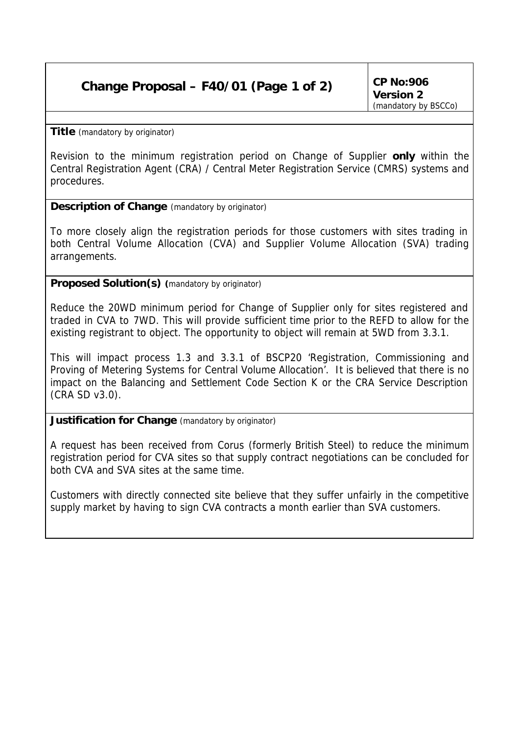## **Change Proposal – F40/01 (Page 1 of 2)**

**CP No:906 Version 2** *(mandatory by BSCCo)*

**Title** *(mandatory by originator)*

Revision to the minimum registration period on Change of Supplier **only** within the Central Registration Agent (CRA) / Central Meter Registration Service (CMRS) systems and procedures.

**Description of Change** *(mandatory by originator)*

To more closely align the registration periods for those customers with sites trading in both Central Volume Allocation (CVA) and Supplier Volume Allocation (SVA) trading arrangements.

**Proposed Solution(s)** *(mandatory by originator)*

Reduce the 20WD minimum period for Change of Supplier only for sites registered and traded in CVA to 7WD. This will provide sufficient time prior to the REFD to allow for the existing registrant to object. The opportunity to object will remain at 5WD from 3.3.1.

This will impact process 1.3 and 3.3.1 of BSCP20 'Registration, Commissioning and Proving of Metering Systems for Central Volume Allocation'. It is believed that there is no impact on the Balancing and Settlement Code Section K or the CRA Service Description (CRA SD v3.0).

**Justification for Change** *(mandatory by originator)*

A request has been received from Corus (formerly British Steel) to reduce the minimum registration period for CVA sites so that supply contract negotiations can be concluded for both CVA and SVA sites at the same time.

Customers with directly connected site believe that they suffer unfairly in the competitive supply market by having to sign CVA contracts a month earlier than SVA customers.